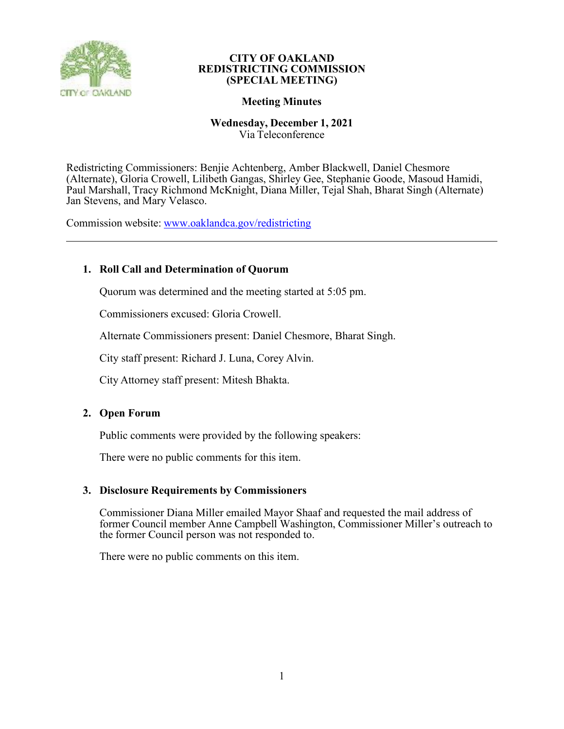

# **Meeting Minutes**

# **Wednesday, December 1, 2021**

Via Teleconference

Redistricting Commissioners: Benjie Achtenberg, Amber Blackwell, Daniel Chesmore (Alternate), Gloria Crowell, Lilibeth Gangas, Shirley Gee, Stephanie Goode, Masoud Hamidi, Paul Marshall, Tracy Richmond McKnight, Diana Miller, Tejal Shah, Bharat Singh (Alternate) Jan Stevens, and Mary Velasco.

Commission website: [www.oaklandca.gov/redistricting](http://www.oaklandca.gov/redistricting)

# **1. Roll Call and Determination of Quorum**

Quorum was determined and the meeting started at 5:05 pm.

Commissioners excused: Gloria Crowell.

Alternate Commissioners present: Daniel Chesmore, Bharat Singh.

City staff present: Richard J. Luna, Corey Alvin.

City Attorney staff present: Mitesh Bhakta.

# **2. Open Forum**

Public comments were provided by the following speakers:

There were no public comments for this item.

# **3. Disclosure Requirements by Commissioners**

Commissioner Diana Miller emailed Mayor Shaaf and requested the mail address of former Council member Anne Campbell Washington, Commissioner Miller's outreach to the former Council person was not responded to.

There were no public comments on this item.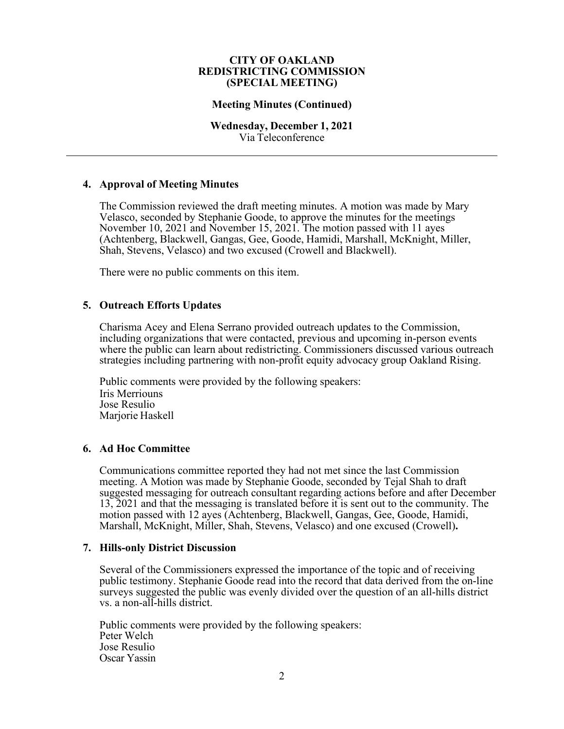# **Meeting Minutes (Continued)**

## **Wednesday, December 1, 2021** Via Teleconference

# **4. Approval of Meeting Minutes**

The Commission reviewed the draft meeting minutes. A motion was made by Mary Velasco, seconded by Stephanie Goode, to approve the minutes for the meetings November 10, 2021 and November 15, 2021. The motion passed with 11 ayes (Achtenberg, Blackwell, Gangas, Gee, Goode, Hamidi, Marshall, McKnight, Miller, Shah, Stevens, Velasco) and two excused (Crowell and Blackwell).

There were no public comments on this item.

# **5. Outreach Efforts Updates**

Charisma Acey and Elena Serrano provided outreach updates to the Commission, including organizations that were contacted, previous and upcoming in-person events where the public can learn about redistricting. Commissioners discussed various outreach strategies including partnering with non-profit equity advocacy group Oakland Rising.

Public comments were provided by the following speakers: Iris Merriouns Jose Resulio Marjorie Haskell

# **6. Ad Hoc Committee**

Communications committee reported they had not met since the last Commission meeting. A Motion was made by Stephanie Goode, seconded by Tejal Shah to draft suggested messaging for outreach consultant regarding actions before and after December 13, 2021 and that the messaging is translated before it is sent out to the community. The motion passed with 12 ayes (Achtenberg, Blackwell, Gangas, Gee, Goode, Hamidi, Marshall, McKnight, Miller, Shah, Stevens, Velasco) and one excused (Crowell)**.**

# **7. Hills-only District Discussion**

Several of the Commissioners expressed the importance of the topic and of receiving public testimony. Stephanie Goode read into the record that data derived from the on-line surveys suggested the public was evenly divided over the question of an all-hills district vs. a non-all-hills district.

Public comments were provided by the following speakers: Peter Welch Jose Resulio Oscar Yassin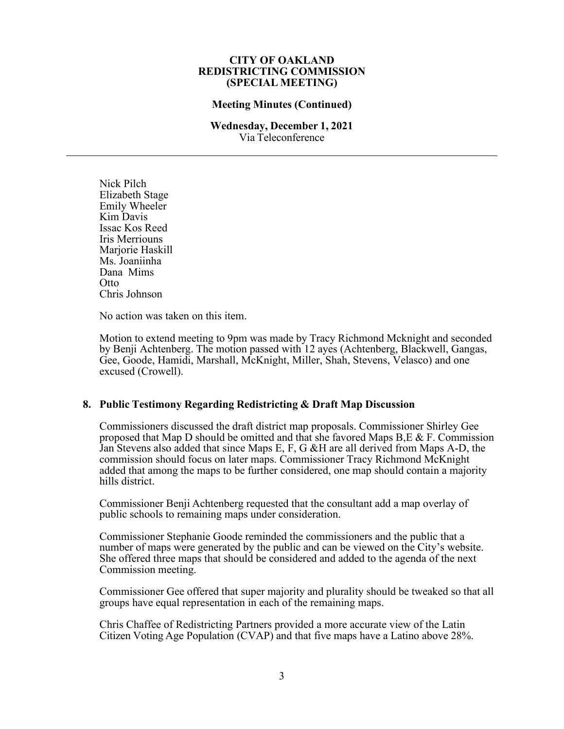# **Meeting Minutes (Continued)**

### **Wednesday, December 1, 2021** Via Teleconference

Nick Pilch Elizabeth Stage Emily Wheeler Kim Davis Issac Kos Reed Iris Merriouns Mariorie Haskill Ms. Joaniinha Dana Mims **Otto** Chris Johnson

No action was taken on this item.

Motion to extend meeting to 9pm was made by Tracy Richmond Mcknight and seconded by Benji Achtenberg. The motion passed with 12 ayes (Achtenberg, Blackwell, Gangas, Gee, Goode, Hamidi, Marshall, McKnight, Miller, Shah, Stevens, Velasco) and one excused (Crowell).

# **8. Public Testimony Regarding Redistricting & Draft Map Discussion**

Commissioners discussed the draft district map proposals. Commissioner Shirley Gee proposed that Map D should be omitted and that she favored Maps B, E & F. Commission Jan Stevens also added that since Maps E, F, G &H are all derived from Maps A-D, the commission should focus on later maps. Commissioner Tracy Richmond McKnight added that among the maps to be further considered, one map should contain a majority hills district.

Commissioner Benji Achtenberg requested that the consultant add a map overlay of public schools to remaining maps under consideration.

Commissioner Stephanie Goode reminded the commissioners and the public that a number of maps were generated by the public and can be viewed on the City's website. She offered three maps that should be considered and added to the agenda of the next Commission meeting.

Commissioner Gee offered that super majority and plurality should be tweaked so that all groups have equal representation in each of the remaining maps.

Chris Chaffee of Redistricting Partners provided a more accurate view of the Latin Citizen Voting Age Population (CVAP) and that five maps have a Latino above 28%.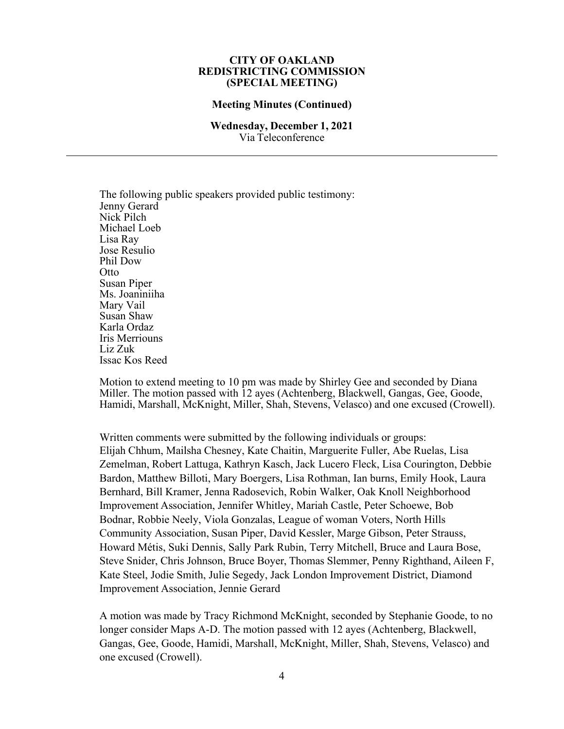#### **Meeting Minutes (Continued)**

#### **Wednesday, December 1, 2021** Via Teleconference

The following public speakers provided public testimony: Jenny Gerard Nick Pilch Michael Loeb Lisa Ray Jose Resulio Phil Dow Otto Susan Piper Ms. Joaniniiha Mary Vail Susan Shaw Karla Ordaz Iris Merriouns Liz Zuk Issac Kos Reed

Motion to extend meeting to 10 pm was made by Shirley Gee and seconded by Diana Miller. The motion passed with 12 ayes (Achtenberg, Blackwell, Gangas, Gee, Goode, Hamidi, Marshall, McKnight, Miller, Shah, Stevens, Velasco) and one excused (Crowell).

Written comments were submitted by the following individuals or groups: Elijah Chhum, Mailsha Chesney, Kate Chaitin, Marguerite Fuller, Abe Ruelas, Lisa Zemelman, Robert Lattuga, Kathryn Kasch, Jack Lucero Fleck, Lisa Courington, Debbie Bardon, Matthew Billoti, Mary Boergers, Lisa Rothman, Ian burns, Emily Hook, Laura Bernhard, Bill Kramer, Jenna Radosevich, Robin Walker, Oak Knoll Neighborhood Improvement Association, Jennifer Whitley, Mariah Castle, Peter Schoewe, Bob Bodnar, Robbie Neely, Viola Gonzalas, League of woman Voters, North Hills Community Association, Susan Piper, David Kessler, Marge Gibson, Peter Strauss, Howard Métis, Suki Dennis, Sally Park Rubin, Terry Mitchell, Bruce and Laura Bose, Steve Snider, Chris Johnson, Bruce Boyer, Thomas Slemmer, Penny Righthand, Aileen F, Kate Steel, Jodie Smith, Julie Segedy, Jack London Improvement District, Diamond Improvement Association, Jennie Gerard

A motion was made by Tracy Richmond McKnight, seconded by Stephanie Goode, to no longer consider Maps A-D. The motion passed with 12 ayes (Achtenberg, Blackwell, Gangas, Gee, Goode, Hamidi, Marshall, McKnight, Miller, Shah, Stevens, Velasco) and one excused (Crowell).